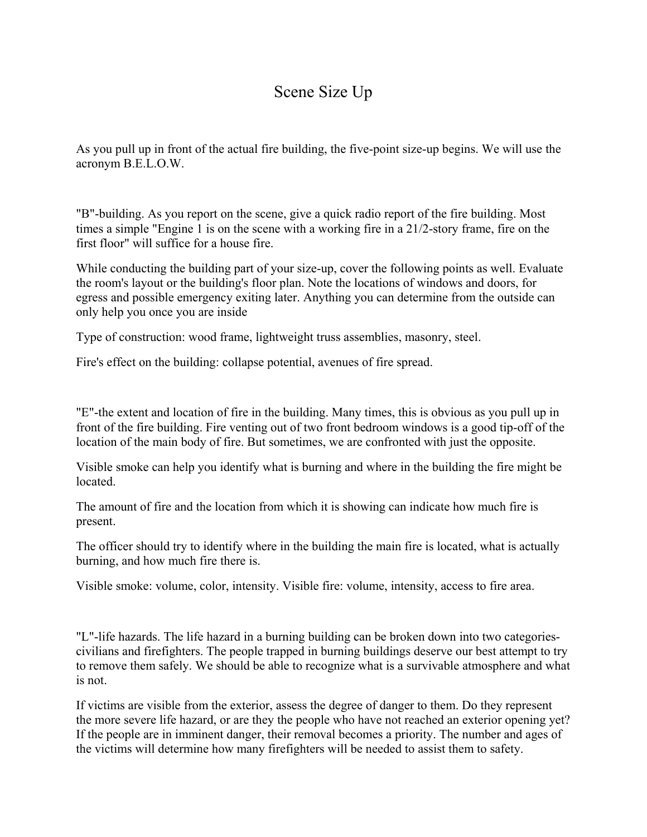## Scene Size Up

As you pull up in front of the actual fire building, the five-point size-up begins. We will use the acronym B.E.L.O.W.

"B"-building. As you report on the scene, give a quick radio report of the fire building. Most times a simple "Engine 1 is on the scene with a working fire in a 21/2-story frame, fire on the first floor" will suffice for a house fire.

While conducting the building part of your size-up, cover the following points as well. Evaluate the room's layout or the building's floor plan. Note the locations of windows and doors, for egress and possible emergency exiting later. Anything you can determine from the outside can only help you once you are inside

Type of construction: wood frame, lightweight truss assemblies, masonry, steel.

Fire's effect on the building: collapse potential, avenues of fire spread.

"E"-the extent and location of fire in the building. Many times, this is obvious as you pull up in front of the fire building. Fire venting out of two front bedroom windows is a good tip-off of the location of the main body of fire. But sometimes, we are confronted with just the opposite.

Visible smoke can help you identify what is burning and where in the building the fire might be located.

The amount of fire and the location from which it is showing can indicate how much fire is present.

The officer should try to identify where in the building the main fire is located, what is actually burning, and how much fire there is.

Visible smoke: volume, color, intensity. Visible fire: volume, intensity, access to fire area.

"L"-life hazards. The life hazard in a burning building can be broken down into two categoriescivilians and firefighters. The people trapped in burning buildings deserve our best attempt to try to remove them safely. We should be able to recognize what is a survivable atmosphere and what is not.

If victims are visible from the exterior, assess the degree of danger to them. Do they represent the more severe life hazard, or are they the people who have not reached an exterior opening yet? If the people are in imminent danger, their removal becomes a priority. The number and ages of the victims will determine how many firefighters will be needed to assist them to safety.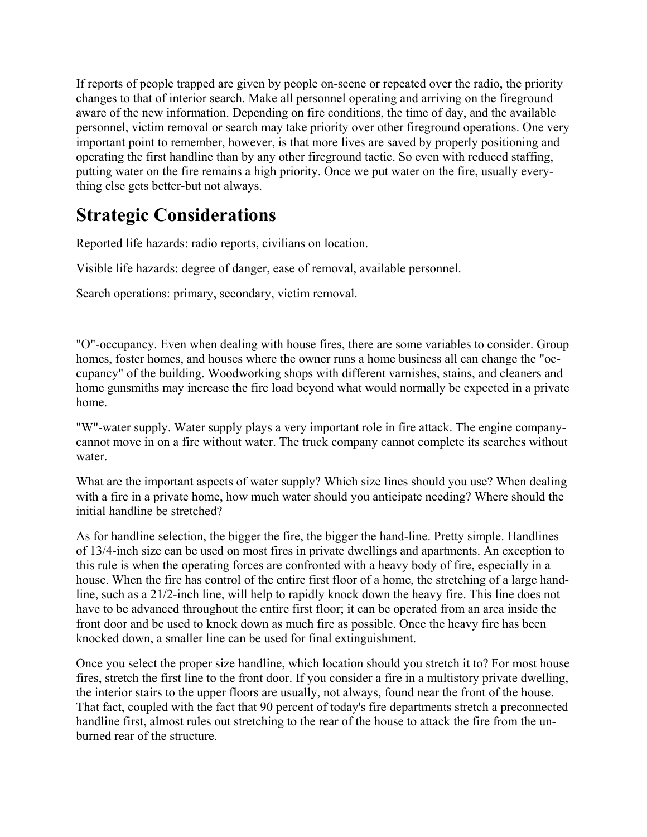If reports of people trapped are given by people on-scene or repeated over the radio, the priority changes to that of interior search. Make all personnel operating and arriving on the fireground aware of the new information. Depending on fire conditions, the time of day, and the available personnel, victim removal or search may take priority over other fireground operations. One very important point to remember, however, is that more lives are saved by properly positioning and operating the first handline than by any other fireground tactic. So even with reduced staffing, putting water on the fire remains a high priority. Once we put water on the fire, usually everything else gets better-but not always.

## **Strategic Considerations**

Reported life hazards: radio reports, civilians on location.

Visible life hazards: degree of danger, ease of removal, available personnel.

Search operations: primary, secondary, victim removal.

"O"-occupancy. Even when dealing with house fires, there are some variables to consider. Group homes, foster homes, and houses where the owner runs a home business all can change the "occupancy" of the building. Woodworking shops with different varnishes, stains, and cleaners and home gunsmiths may increase the fire load beyond what would normally be expected in a private home.

"W"-water supply. Water supply plays a very important role in fire attack. The engine companycannot move in on a fire without water. The truck company cannot complete its searches without water.

What are the important aspects of water supply? Which size lines should you use? When dealing with a fire in a private home, how much water should you anticipate needing? Where should the initial handline be stretched?

As for handline selection, the bigger the fire, the bigger the hand-line. Pretty simple. Handlines of 13/4-inch size can be used on most fires in private dwellings and apartments. An exception to this rule is when the operating forces are confronted with a heavy body of fire, especially in a house. When the fire has control of the entire first floor of a home, the stretching of a large handline, such as a 21/2-inch line, will help to rapidly knock down the heavy fire. This line does not have to be advanced throughout the entire first floor; it can be operated from an area inside the front door and be used to knock down as much fire as possible. Once the heavy fire has been knocked down, a smaller line can be used for final extinguishment.

Once you select the proper size handline, which location should you stretch it to? For most house fires, stretch the first line to the front door. If you consider a fire in a multistory private dwelling, the interior stairs to the upper floors are usually, not always, found near the front of the house. That fact, coupled with the fact that 90 percent of today's fire departments stretch a preconnected handline first, almost rules out stretching to the rear of the house to attack the fire from the unburned rear of the structure.